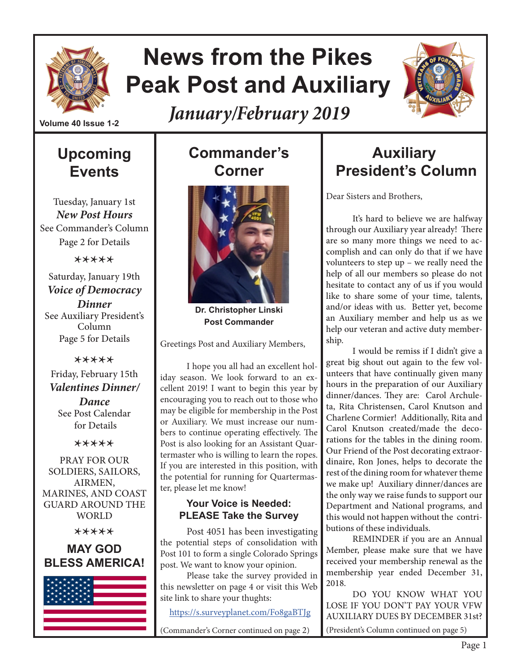

## **News from the Pikes Peak Post and Auxiliary**

*January/February 2019*



**Volume 40 Issue 1-2**

## **Upcoming Events**

Tuesday, January 1st *New Post Hours* See Commander's Column Page 2 for Details

\*\*\*\*\*

Saturday, January 19th *Voice of Democracy Dinner* See Auxiliary President's Column Page 5 for Details

\*\*\*\*\*

Friday, February 15th *Valentines Dinner/*

*Dance* See Post Calendar for Details

\*\*\*\*\*

PRAY FOR OUR SOLDIERS, SAILORS, AIRMEN, MARINES, AND COAST GUARD AROUND THE WORLD

\*\*\*\*\*

#### **MAY GOD BLESS AMERICA!**



## **Commander's Corner**



**Dr. Christopher Linski Post Commander**

Greetings Post and Auxiliary Members,

I hope you all had an excellent holiday season. We look forward to an excellent 2019! I want to begin this year by encouraging you to reach out to those who may be eligible for membership in the Post or Auxiliary. We must increase our numbers to continue operating effectively. The Post is also looking for an Assistant Quartermaster who is willing to learn the ropes. If you are interested in this position, with the potential for running for Quartermaster, please let me know!

#### **Your Voice is Needed: PLEASE Take the Survey**

Post 4051 has been investigating the potential steps of consolidation with Post 101 to form a single Colorado Springs post. We want to know your opinion.

Please take the survey provided in this newsletter on page 4 or visit this Web site link to share your thughts:

https://s.surveyplanet.com/Fo8gaBTJg

(Commander's Corner continued on page 2)

## **Auxiliary President's Column**

Dear Sisters and Brothers,

It's hard to believe we are halfway through our Auxiliary year already! There are so many more things we need to accomplish and can only do that if we have volunteers to step up – we really need the help of all our members so please do not hesitate to contact any of us if you would like to share some of your time, talents, and/or ideas with us. Better yet, become an Auxiliary member and help us as we help our veteran and active duty membership.

I would be remiss if I didn't give a great big shout out again to the few volunteers that have continually given many hours in the preparation of our Auxiliary dinner/dances. They are: Carol Archuleta, Rita Christensen, Carol Knutson and Charlene Cormier! Additionally, Rita and Carol Knutson created/made the decorations for the tables in the dining room. Our Friend of the Post decorating extraordinaire, Ron Jones, helps to decorate the rest of the dining room for whatever theme we make up! Auxiliary dinner/dances are the only way we raise funds to support our Department and National programs, and this would not happen without the contributions of these individuals.

REMINDER if you are an Annual Member, please make sure that we have received your membership renewal as the membership year ended December 31, 2018.

DO YOU KNOW WHAT YOU LOSE IF YOU DON'T PAY YOUR VFW AUXILIARY DUES BY DECEMBER 31st?

(President's Column continued on page 5)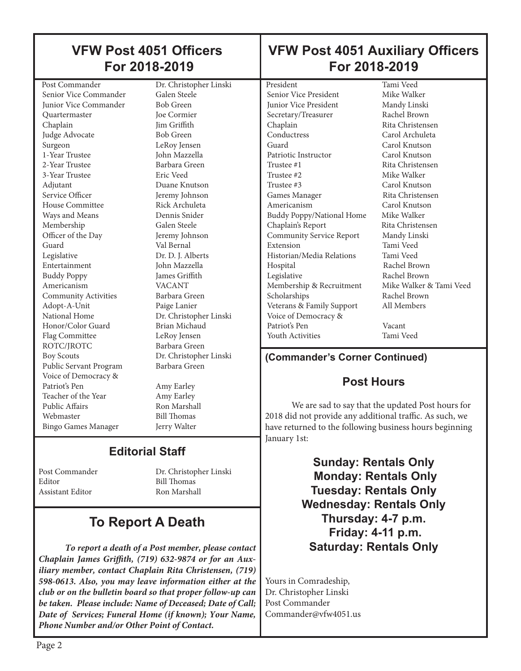#### President Tami Veed<br>
Senior Vice President Mike Walker Senior Vice President **Junior Vice President Mandy Linski** Secretary/Treasurer Rachel Brown Chaplain Rita Christensen Conductress Carol Archuleta Guard Carol Knutson Patriotic Instructor Carol Knutson Trustee #1 Rita Christensen Trustee #2 Mike Walker Trustee #3 Carol Knutson Games Manager Rita Christensen Americanism Carol Knutson Buddy Poppy/National Home Mike Walker Chaplain's Report Rita Christensen Community Service Report Mandy Linski Extension Tami Veed Historian/Media Relations Tami Veed Hospital Rachel Brown<br>
Legislative Rachel Brown Rachel Brown<br>Mike Walker & Tami Veed Membership & Recruitment Scholarships Rachel Brown Veterans & Family Support All Members Voice of Democracy & Patriot's Pen Vacant Youth Activities Tami Veed **(Commander's Corner Continued) VFW Post 4051 Auxiliary Officers For 2018-2019** Post Commander Dr. Christopher Linski Senior Vice Commander Galen Steele<br>
Iunior Vice Commander Bob Green Junior Vice Commander Quartermaster Joe Cormier Chaplain Jim Griffith Judge Advocate Bob Green Surgeon LeRoy Jensen 1-Year Trustee John Mazzella 2-Year Trustee Barbara Green 3-Year Trustee Eric Veed Adjutant Duane Knutson Service Officer **Jeremy Johnson**<br>House Committee **Algebra**<br>Rick Archuleta House Committee Ways and Means Dennis Snider Membership Galen Steele Officer of the Day Jeremy Johnson Guard Val Bernal Legislative Dr. D. J. Alberts Entertainment John Mazzella Buddy Poppy James Griffith<br>Americanism VACANT Americanism Community Activities Barbara Green<br>Adopt-A-Unit Paige Lanier Adopt-A-Unit National Home Dr. Christopher Linski Honor/Color Guard Brian Michaud Flag Committee LeRoy Jensen ROTC/JROTC Barbara Green Boy Scouts Dr. Christopher Linski Public Servant Program Barbara Green  **For 2018-2019**

#### **Post Hours**

We are sad to say that the updated Post hours for 2018 did not provide any additional traffic. As such, we have returned to the following business hours beginning January 1st:

> **Sunday: Rentals Only Monday: Rentals Only Tuesday: Rentals Only Wednesday: Rentals Only Thursday: 4-7 p.m. Friday: 4-11 p.m. Saturday: Rentals Only**

Yours in Comradeship, Dr. Christopher Linski Post Commander Commander@vfw4051.us

## **To Report A Death**

*To report a death of a Post member, please contact Chaplain James Griffith, (719) 632-9874 or for an Auxiliary member, contact Chaplain Rita Christensen, (719) 598-0613. Also, you may leave information either at the club or on the bulletin board so that proper follow-up can be taken. Please include: Name of Deceased; Date of Call; Date of Services; Funeral Home (if known); Your Name, Phone Number and/or Other Point of Contact.*

# **VFW Post 4051 Officers**

 Voice of Democracy & Teacher of the Year Amy Earley<br>Public Affairs Ron Marsha Webmaster Bill Thomas Bingo Games Manager Jerry Walter

Amy Earley

Ron Marshall

## **Editorial Staff**

Editor Bill Thomas Assistant Editor **Ron Marshall** 

Post Commander Dr. Christopher Linski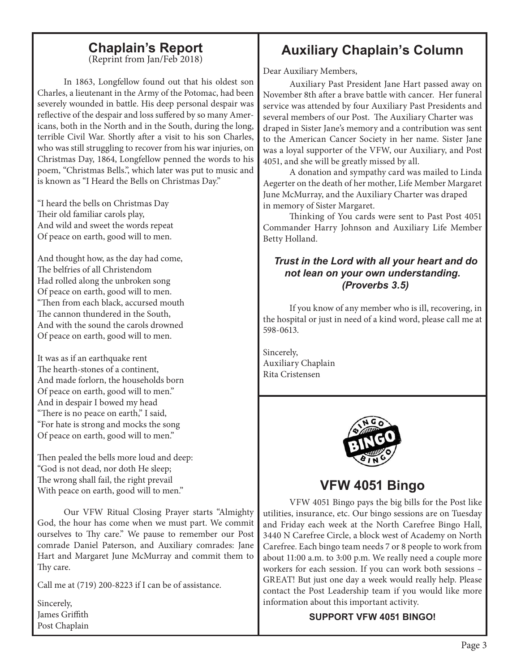## **Chaplain's Report**

(Reprint from Jan/Feb 2018)

In 1863, Longfellow found out that his oldest son Charles, a lieutenant in the Army of the Potomac, had been severely wounded in battle. His deep personal despair was reflective of the despair and loss suffered by so many Americans, both in the North and in the South, during the long, terrible Civil War. Shortly after a visit to his son Charles, who was still struggling to recover from his war injuries, on Christmas Day, 1864, Longfellow penned the words to his poem, "Christmas Bells.", which later was put to music and is known as "I Heard the Bells on Christmas Day."

"I heard the bells on Christmas Day Their old familiar carols play, And wild and sweet the words repeat Of peace on earth, good will to men.

And thought how, as the day had come, The belfries of all Christendom Had rolled along the unbroken song Of peace on earth, good will to men. "Then from each black, accursed mouth The cannon thundered in the South, And with the sound the carols drowned Of peace on earth, good will to men.

It was as if an earthquake rent The hearth-stones of a continent, And made forlorn, the households born Of peace on earth, good will to men." And in despair I bowed my head "There is no peace on earth," I said, "For hate is strong and mocks the song Of peace on earth, good will to men."

Then pealed the bells more loud and deep: "God is not dead, nor doth He sleep; The wrong shall fail, the right prevail With peace on earth, good will to men."

Our VFW Ritual Closing Prayer starts "Almighty God, the hour has come when we must part. We commit ourselves to Thy care." We pause to remember our Post comrade Daniel Paterson, and Auxiliary comrades: Jane Hart and Margaret June McMurray and commit them to Thy care.

Call me at (719) 200-8223 if I can be of assistance.

Sincerely, James Griffith Post Chaplain

## **Auxiliary Chaplain's Column**

Dear Auxiliary Members,

Auxiliary Past President Jane Hart passed away on November 8th after a brave battle with cancer. Her funeral service was attended by four Auxiliary Past Presidents and several members of our Post. The Auxiliary Charter was draped in Sister Jane's memory and a contribution was sent to the American Cancer Society in her name. Sister Jane was a loyal supporter of the VFW, our Auxiliary, and Post 4051, and she will be greatly missed by all.

A donation and sympathy card was mailed to Linda Aegerter on the death of her mother, Life Member Margaret June McMurray, and the Auxiliary Charter was draped in memory of Sister Margaret.

Thinking of You cards were sent to Past Post 4051 Commander Harry Johnson and Auxiliary Life Member Betty Holland.

#### *Trust in the Lord with all your heart and do not lean on your own understanding. (Proverbs 3.5)*

If you know of any member who is ill, recovering, in the hospital or just in need of a kind word, please call me at 598-0613.

Sincerely, Auxiliary Chaplain Rita Cristensen



### **VFW 4051 Bingo**

VFW 4051 Bingo pays the big bills for the Post like utilities, insurance, etc. Our bingo sessions are on Tuesday and Friday each week at the North Carefree Bingo Hall, 3440 N Carefree Circle, a block west of Academy on North Carefree. Each bingo team needs 7 or 8 people to work from about 11:00 a.m. to 3:00 p.m. We really need a couple more workers for each session. If you can work both sessions – GREAT! But just one day a week would really help. Please contact the Post Leadership team if you would like more information about this important activity.

#### **SUPPORT VFW 4051 BINGO!**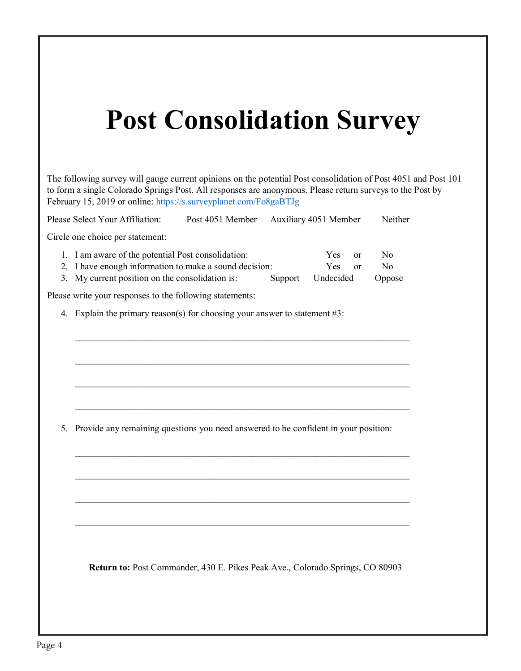## **Post Consolidation Survey**

The following survey will gauge current opinions on the potential Post consolidation of Post 4051 and Post 101 to form a single Colorado Springs Post. All responses are anonymous. Please return surveys to the Post by February 15, 2019 or online: https://s.surveyplanet.com/Fo8gaBTJg

Please Select Your Affiliation: Post 4051 Member Auxiliary 4051 Member Neither Circle one choice per statement: 1. I am aware of the potential Post consolidation: Yes or No 2. I have enough information to make a sound decision: Yes or No 3. My current position on the consolidation is: Support Undecided Oppose Please write your responses to the following statements: 4. Explain the primary reason(s) for choosing your answer to statement #3: \_\_\_\_\_\_\_\_\_\_\_\_\_\_\_\_\_\_\_\_\_\_\_\_\_\_\_\_\_\_\_\_\_\_\_\_\_\_\_\_\_\_\_\_\_\_\_\_\_\_\_\_\_\_\_\_\_\_\_\_\_\_\_\_\_\_\_\_\_\_\_\_  $\mathcal{L}_\text{max}$  and  $\mathcal{L}_\text{max}$  and  $\mathcal{L}_\text{max}$  and  $\mathcal{L}_\text{max}$  and  $\mathcal{L}_\text{max}$  and  $\mathcal{L}_\text{max}$  $\mathcal{L}_\text{max}$  and  $\mathcal{L}_\text{max}$  and  $\mathcal{L}_\text{max}$  and  $\mathcal{L}_\text{max}$  and  $\mathcal{L}_\text{max}$  and  $\mathcal{L}_\text{max}$  $\mathcal{L}_\text{max}$  and  $\mathcal{L}_\text{max}$  and  $\mathcal{L}_\text{max}$  and  $\mathcal{L}_\text{max}$  and  $\mathcal{L}_\text{max}$  and  $\mathcal{L}_\text{max}$ 5. Provide any remaining questions you need answered to be confident in your position: \_\_\_\_\_\_\_\_\_\_\_\_\_\_\_\_\_\_\_\_\_\_\_\_\_\_\_\_\_\_\_\_\_\_\_\_\_\_\_\_\_\_\_\_\_\_\_\_\_\_\_\_\_\_\_\_\_\_\_\_\_\_\_\_\_\_\_\_\_\_\_\_ \_\_\_\_\_\_\_\_\_\_\_\_\_\_\_\_\_\_\_\_\_\_\_\_\_\_\_\_\_\_\_\_\_\_\_\_\_\_\_\_\_\_\_\_\_\_\_\_\_\_\_\_\_\_\_\_\_\_\_\_\_\_\_\_\_\_\_\_\_\_\_\_  $\mathcal{L}_\text{max}$  and  $\mathcal{L}_\text{max}$  and  $\mathcal{L}_\text{max}$  and  $\mathcal{L}_\text{max}$  and  $\mathcal{L}_\text{max}$  and  $\mathcal{L}_\text{max}$  $\mathcal{L}_\text{max}$  and  $\mathcal{L}_\text{max}$  and  $\mathcal{L}_\text{max}$  and  $\mathcal{L}_\text{max}$  and  $\mathcal{L}_\text{max}$  and  $\mathcal{L}_\text{max}$  **Return to:** Post Commander, 430 E. Pikes Peak Ave., Colorado Springs, CO 80903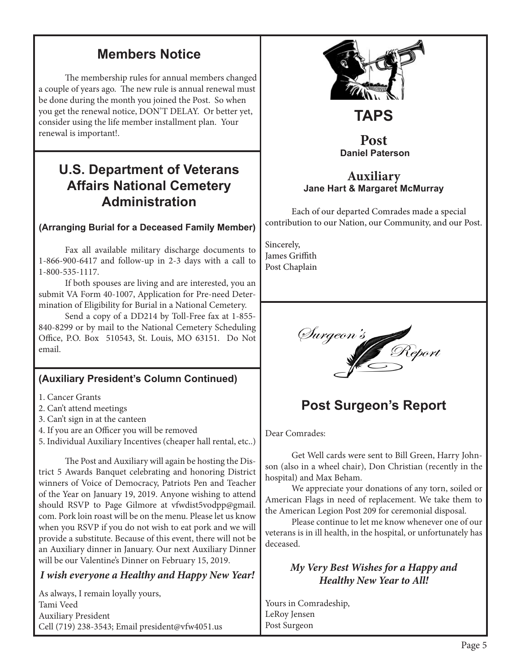### **Members Notice**

The membership rules for annual members changed a couple of years ago. The new rule is annual renewal must be done during the month you joined the Post. So when you get the renewal notice, DON'T DELAY. Or better yet, consider using the life member installment plan. Your renewal is important!.

### **U.S. Department of Veterans Affairs National Cemetery Administration**

#### **(Arranging Burial for a Deceased Family Member)**

Fax all available military discharge documents to 1-866-900-6417 and follow-up in 2-3 days with a call to 1-800-535-1117.

If both spouses are living and are interested, you an submit VA Form 40-1007, Application for Pre-need Determination of Eligibility for Burial in a National Cemetery.

Send a copy of a DD214 by Toll-Free fax at 1-855- 840-8299 or by mail to the National Cemetery Scheduling Office, P.O. Box 510543, St. Louis, MO 63151. Do Not email.

#### **(Auxiliary President's Column Continued)**

- 1. Cancer Grants
- 2. Can't attend meetings
- 3. Can't sign in at the canteen
- 4. If you are an Officer you will be removed
- 5. Individual Auxiliary Incentives (cheaper hall rental, etc..)

The Post and Auxiliary will again be hosting the District 5 Awards Banquet celebrating and honoring District winners of Voice of Democracy, Patriots Pen and Teacher of the Year on January 19, 2019. Anyone wishing to attend should RSVP to Page Gilmore at vfwdist5vodpp@gmail. com. Pork loin roast will be on the menu. Please let us know when you RSVP if you do not wish to eat pork and we will provide a substitute. Because of this event, there will not be an Auxiliary dinner in January. Our next Auxiliary Dinner will be our Valentine's Dinner on February 15, 2019.

#### *I wish everyone a Healthy and Happy New Year!*

As always, I remain loyally yours, Tami Veed Auxiliary President Cell (719) 238-3543; Email president@vfw4051.us



## **TAPS**

#### **Post Daniel Paterson**

#### **Auxiliary Jane Hart & Margaret McMurray**

Each of our departed Comrades made a special contribution to our Nation, our Community, and our Post.

Sincerely, James Griffith Post Chaplain



## **Post Surgeon's Report**

Dear Comrades:

Get Well cards were sent to Bill Green, Harry Johnson (also in a wheel chair), Don Christian (recently in the hospital) and Max Beham.

We appreciate your donations of any torn, soiled or American Flags in need of replacement. We take them to the American Legion Post 209 for ceremonial disposal.

Please continue to let me know whenever one of our veterans is in ill health, in the hospital, or unfortunately has deceased.

#### *My Very Best Wishes for a Happy and Healthy New Year to All!*

Yours in Comradeship, LeRoy Jensen Post Surgeon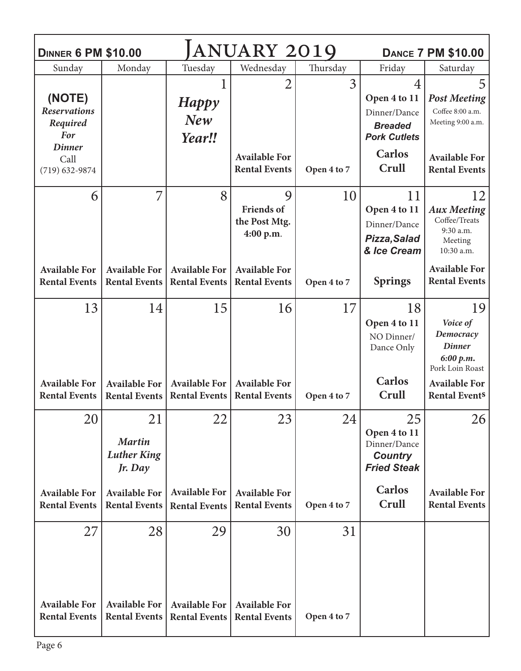| <b>DINNER 6 PM \$10.00</b>                        |                                                      | <b>DANCE 7 PM \$10.00</b>                         |                                                                                                      |                   |                                                                                         |                                                                                                                                 |
|---------------------------------------------------|------------------------------------------------------|---------------------------------------------------|------------------------------------------------------------------------------------------------------|-------------------|-----------------------------------------------------------------------------------------|---------------------------------------------------------------------------------------------------------------------------------|
| Sunday                                            | Monday                                               | Tuesday                                           | Wednesday                                                                                            | Thursday          | Friday                                                                                  | Saturday                                                                                                                        |
| (NOTE)<br><b>Reservations</b><br>Required<br>For  |                                                      | <b>Happy</b><br><b>New</b><br>Year!!              | 2                                                                                                    | $\overline{3}$    | $\overline{4}$<br>Open 4 to 11<br>Dinner/Dance<br><b>Breaded</b><br><b>Pork Cutlets</b> | 5<br><b>Post Meeting</b><br>Coffee 8:00 a.m.<br>Meeting 9:00 a.m.                                                               |
| <b>Dinner</b><br>Call<br>$(719) 632 - 9874$       |                                                      |                                                   | <b>Available For</b><br><b>Rental Events</b>                                                         | Open 4 to 7       | <b>Carlos</b><br>Crull                                                                  | <b>Available For</b><br><b>Rental Events</b>                                                                                    |
| 6<br><b>Available For</b><br><b>Rental Events</b> | 7<br><b>Available For</b><br><b>Rental Events</b>    | 8<br><b>Available For</b><br><b>Rental Events</b> | 9<br><b>Friends of</b><br>the Post Mtg.<br>4:00 p.m.<br><b>Available For</b><br><b>Rental Events</b> | 10<br>Open 4 to 7 | 11<br>Open 4 to 11<br>Dinner/Dance<br>Pizza, Salad<br>& Ice Cream<br><b>Springs</b>     | 12<br><b>Aux Meeting</b><br>Coffee/Treats<br>9:30 a.m.<br>Meeting<br>10:30 a.m.<br><b>Available For</b><br><b>Rental Events</b> |
| 13                                                | 14                                                   | 15                                                | 16                                                                                                   | 17                | 18<br>Open 4 to 11<br>NO Dinner/<br>Dance Only                                          | 19<br>Voice of<br>Democracy<br><b>Dinner</b><br>6:00 p.m.<br>Pork Loin Roast                                                    |
| <b>Available For</b><br><b>Rental Events</b>      | <b>Available For</b><br><b>Rental Events</b>         | <b>Available For</b><br><b>Rental Events</b>      | <b>Available For</b><br><b>Rental Events</b>                                                         | Open 4 to 7       | Carlos<br>Crull                                                                         | <b>Available For</b><br><b>Rental Events</b>                                                                                    |
| 20                                                | 21<br><b>Martin</b><br><b>Luther King</b><br>Jr. Day | 22                                                | 23                                                                                                   | 24                | 25<br>Open 4 to 11<br>Dinner/Dance<br><b>Country</b><br><b>Fried Steak</b>              | 26                                                                                                                              |
| <b>Available For</b><br><b>Rental Events</b>      | <b>Available For</b><br><b>Rental Events</b>         | <b>Available For</b><br><b>Rental Events</b>      | <b>Available For</b><br><b>Rental Events</b>                                                         | Open 4 to 7       | Carlos<br>Crull                                                                         | <b>Available For</b><br><b>Rental Events</b>                                                                                    |
| 27<br><b>Available For</b>                        | 28<br><b>Available For</b>                           | 29<br><b>Available For</b>                        | 30<br><b>Available For</b>                                                                           | 31                |                                                                                         |                                                                                                                                 |
| <b>Rental Events</b>                              | <b>Rental Events</b>                                 | <b>Rental Events</b>                              | <b>Rental Events</b>                                                                                 | Open 4 to 7       |                                                                                         |                                                                                                                                 |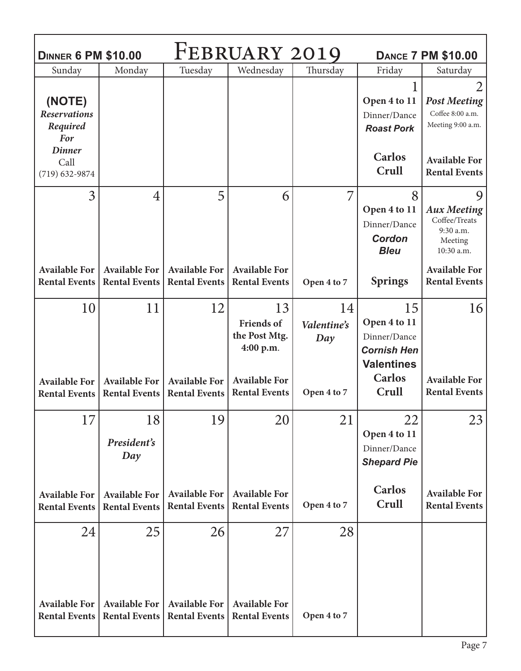| <b>DINNER 6 PM \$10.00</b>                                     |                                                                |                                                   | FEBRUARY 2019                                                                 |                          | <b>DANCE 7 PM \$10.00</b>                                                                      |                                                                                                                                |  |
|----------------------------------------------------------------|----------------------------------------------------------------|---------------------------------------------------|-------------------------------------------------------------------------------|--------------------------|------------------------------------------------------------------------------------------------|--------------------------------------------------------------------------------------------------------------------------------|--|
| Sunday                                                         | Monday                                                         | Tuesday                                           | Wednesday                                                                     | Thursday                 | Friday                                                                                         | Saturday                                                                                                                       |  |
| (NOTE)<br><b>Reservations</b><br>Required<br><b>For</b>        |                                                                |                                                   |                                                                               |                          | Open 4 to 11<br>Dinner/Dance<br><b>Roast Pork</b>                                              | 2<br><b>Post Meeting</b><br>Coffee 8:00 a.m.<br>Meeting 9:00 a.m.                                                              |  |
| <b>Dinner</b><br>Call<br>$(719) 632 - 9874$                    |                                                                |                                                   |                                                                               |                          | <b>Carlos</b><br>Crull                                                                         | <b>Available For</b><br><b>Rental Events</b>                                                                                   |  |
| $\overline{3}$<br><b>Available For</b><br><b>Rental Events</b> | $\overline{4}$<br><b>Available For</b><br><b>Rental Events</b> | 5<br><b>Available For</b><br><b>Rental Events</b> | 6<br><b>Available For</b><br><b>Rental Events</b>                             | 7<br>Open 4 to 7         | 8<br>Open 4 to 11<br>Dinner/Dance<br><b>Cordon</b><br><b>Bleu</b><br><b>Springs</b>            | 9<br><b>Aux Meeting</b><br>Coffee/Treats<br>9:30 a.m.<br>Meeting<br>10:30 a.m.<br><b>Available For</b><br><b>Rental Events</b> |  |
| 10<br><b>Available For</b>                                     | 11<br><b>Available For</b>                                     | 12<br><b>Available For</b>                        | 13<br><b>Friends of</b><br>the Post Mtg.<br>4:00 p.m.<br><b>Available For</b> | 14<br>Valentine's<br>Day | 15<br>Open 4 to 11<br>Dinner/Dance<br><b>Cornish Hen</b><br><b>Valentines</b><br><b>Carlos</b> | 16<br><b>Available For</b>                                                                                                     |  |
| <b>Rental Events</b>                                           | <b>Rental Events</b>                                           | <b>Rental Events</b>                              | <b>Rental Events</b>                                                          | Open 4 to 7              | Crull                                                                                          | <b>Rental Events</b>                                                                                                           |  |
| 17                                                             | 18<br>President's<br>Day                                       | 19                                                | 20                                                                            | 21                       | 22<br>Open 4 to 11<br>Dinner/Dance<br><b>Shepard Pie</b>                                       | 23                                                                                                                             |  |
| <b>Available For</b><br><b>Rental Events</b>                   | <b>Available For</b><br><b>Rental Events</b>                   | <b>Available For</b><br><b>Rental Events</b>      | <b>Available For</b><br><b>Rental Events</b>                                  | Open 4 to 7              | <b>Carlos</b><br>Crull                                                                         | <b>Available For</b><br><b>Rental Events</b>                                                                                   |  |
| 24<br><b>Available For</b>                                     | 25<br><b>Available For</b>                                     | 26<br><b>Available For</b>                        | 27<br><b>Available For</b>                                                    | 28                       |                                                                                                |                                                                                                                                |  |
| <b>Rental Events</b>                                           | <b>Rental Events</b>                                           | <b>Rental Events</b>                              | <b>Rental Events</b>                                                          | Open 4 to 7              |                                                                                                |                                                                                                                                |  |